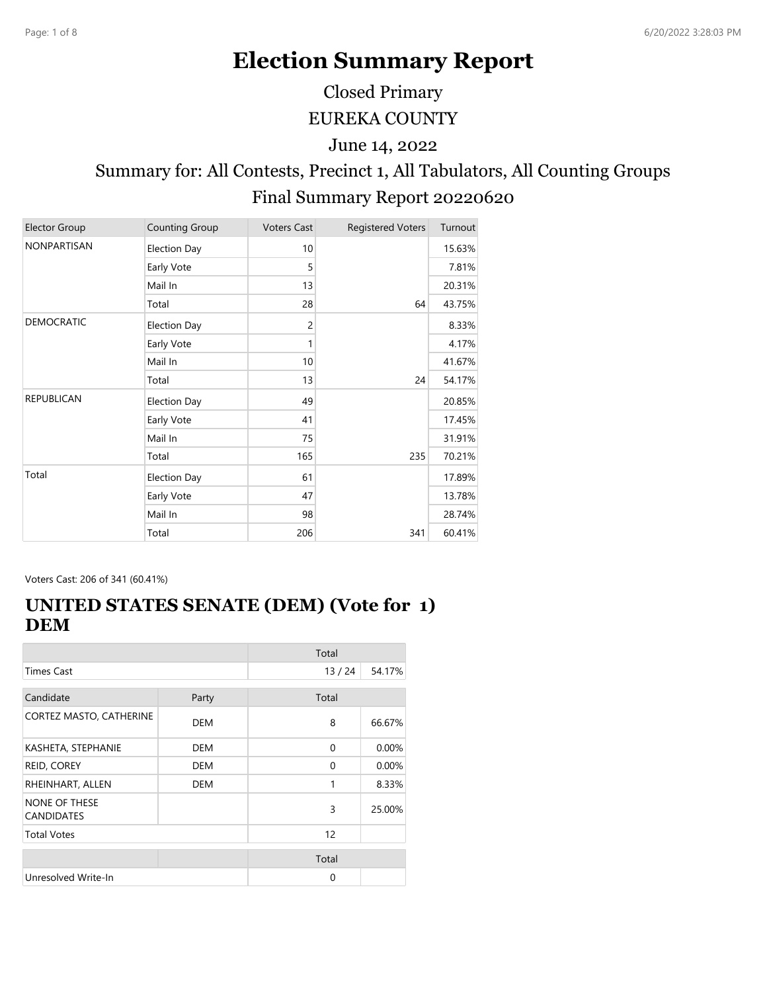# **Election Summary Report**

Closed Primary

EUREKA COUNTY

June 14, 2022

# Summary for: All Contests, Precinct 1, All Tabulators, All Counting Groups Final Summary Report 20220620

| <b>Elector Group</b> | <b>Counting Group</b> | <b>Voters Cast</b> | <b>Registered Voters</b> | Turnout |
|----------------------|-----------------------|--------------------|--------------------------|---------|
| NONPARTISAN          | <b>Election Day</b>   | 10                 |                          | 15.63%  |
|                      | Early Vote            | 5                  |                          | 7.81%   |
|                      | Mail In               | 13                 |                          | 20.31%  |
|                      | Total                 | 28                 | 64                       | 43.75%  |
| DEMOCRATIC           | <b>Election Day</b>   | $\overline{c}$     |                          | 8.33%   |
|                      | Early Vote            | 1                  |                          | 4.17%   |
|                      | Mail In               | 10                 |                          | 41.67%  |
|                      | Total                 | 13                 | 24                       | 54.17%  |
| <b>REPUBLICAN</b>    | <b>Election Day</b>   | 49                 |                          | 20.85%  |
|                      | Early Vote            | 41                 |                          | 17.45%  |
|                      | Mail In               | 75                 |                          | 31.91%  |
|                      | Total                 | 165                | 235                      | 70.21%  |
| Total                | Election Day          | 61                 |                          | 17.89%  |
|                      | Early Vote            | 47                 |                          | 13.78%  |
|                      | Mail In               | 98                 |                          | 28.74%  |
|                      | Total                 | 206                | 341                      | 60.41%  |

Voters Cast: 206 of 341 (60.41%)

#### **UNITED STATES SENATE (DEM) (Vote for 1) DEM**

|                                           |            | Total    |        |
|-------------------------------------------|------------|----------|--------|
| <b>Times Cast</b>                         |            | 13/24    | 54.17% |
| Candidate                                 | Party      | Total    |        |
| CORTEZ MASTO, CATHERINE                   | DEM        | 8        | 66.67% |
| KASHETA, STEPHANIE                        | <b>DEM</b> | $\Omega$ | 0.00%  |
| REID, COREY                               | <b>DEM</b> | 0        | 0.00%  |
| RHEINHART, ALLEN                          | <b>DEM</b> | 1        | 8.33%  |
| <b>NONE OF THESE</b><br><b>CANDIDATES</b> |            | 3        | 25.00% |
| <b>Total Votes</b>                        |            | 12       |        |
|                                           |            | Total    |        |
| Unresolved Write-In                       |            | 0        |        |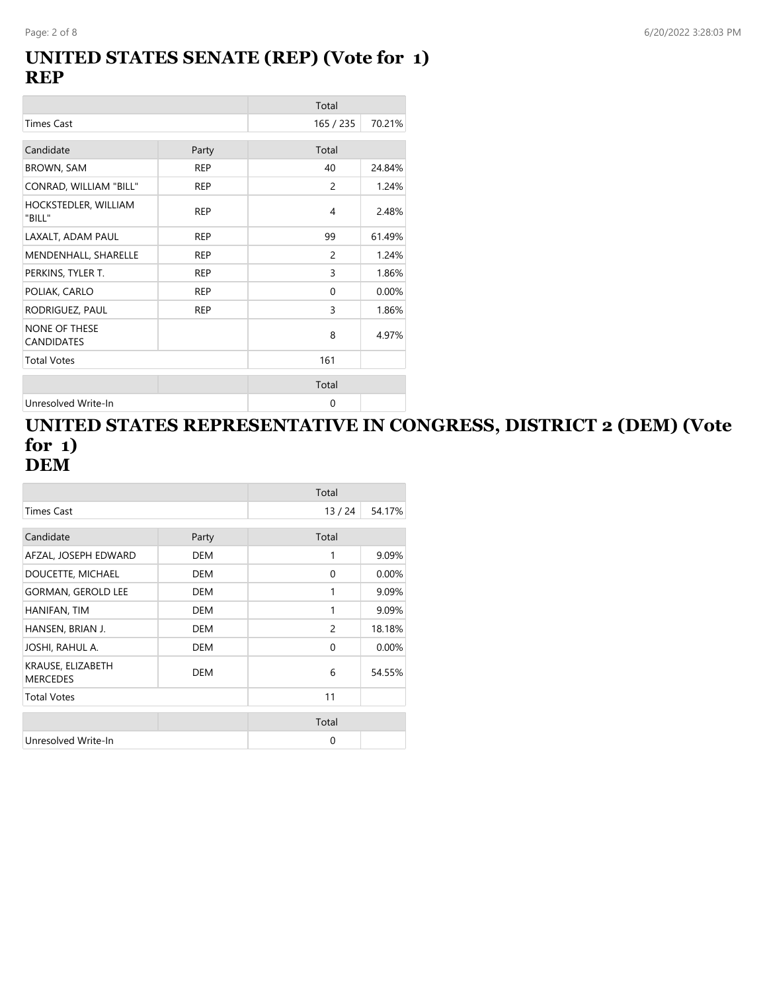#### **UNITED STATES SENATE (REP) (Vote for 1) REP**

|                                           |            | Total         |        |
|-------------------------------------------|------------|---------------|--------|
| <b>Times Cast</b>                         |            | 165 / 235     | 70.21% |
| Candidate                                 | Party      | Total         |        |
| <b>BROWN, SAM</b>                         | <b>REP</b> | 40            | 24.84% |
| CONRAD, WILLIAM "BILL"                    | <b>REP</b> | 2             | 1.24%  |
| HOCKSTEDLER, WILLIAM<br>"BILL"            | <b>REP</b> | 4             | 2.48%  |
| LAXALT, ADAM PAUL                         | <b>REP</b> | 99            | 61.49% |
| MENDENHALL, SHARELLE                      | <b>REP</b> | $\mathcal{P}$ | 1.24%  |
| PERKINS, TYLER T.                         | <b>REP</b> | 3             | 1.86%  |
| POLIAK, CARLO                             | <b>REP</b> | 0             | 0.00%  |
| RODRIGUEZ, PAUL                           | <b>REP</b> | 3             | 1.86%  |
| <b>NONE OF THESE</b><br><b>CANDIDATES</b> |            | 8             | 4.97%  |
| <b>Total Votes</b>                        |            | 161           |        |
|                                           |            | Total         |        |
| Unresolved Write-In                       |            | 0             |        |

#### **UNITED STATES REPRESENTATIVE IN CONGRESS, DISTRICT 2 (DEM) (Vote for 1) DEM**

|                                      |            | Total          |        |
|--------------------------------------|------------|----------------|--------|
| Times Cast                           |            | 13/24          | 54.17% |
| Candidate                            | Party      | Total          |        |
| AFZAL, JOSEPH EDWARD                 | <b>DEM</b> | 1              | 9.09%  |
| DOUCETTE, MICHAEL                    | <b>DEM</b> | 0              | 0.00%  |
| <b>GORMAN, GEROLD LEE</b>            | DEM        | 1              | 9.09%  |
| HANIFAN, TIM                         | <b>DEM</b> | 1              | 9.09%  |
| HANSEN, BRIAN J.                     | <b>DEM</b> | $\overline{c}$ | 18.18% |
| JOSHI, RAHUL A.                      | <b>DEM</b> | 0              | 0.00%  |
| KRAUSE, ELIZABETH<br><b>MERCEDES</b> | <b>DEM</b> | 6              | 54.55% |
| <b>Total Votes</b>                   |            | 11             |        |
|                                      |            | Total          |        |
| Unresolved Write-In                  |            | 0              |        |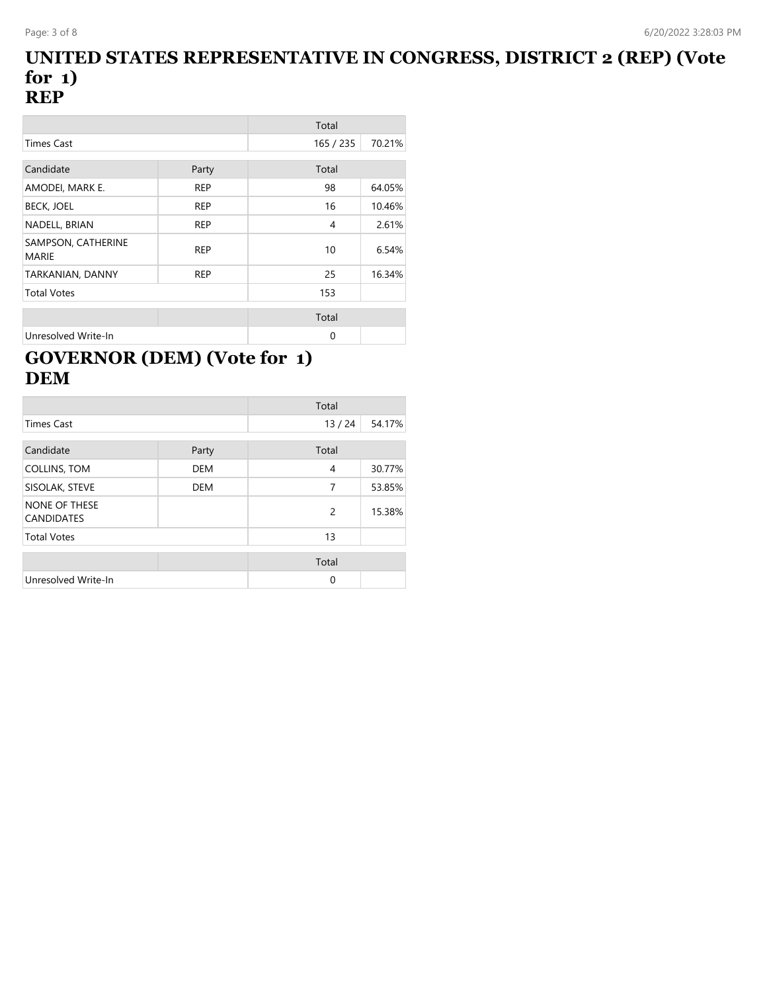#### **UNITED STATES REPRESENTATIVE IN CONGRESS, DISTRICT 2 (REP) (Vote for 1) REP**

|                             |            | Total     |        |
|-----------------------------|------------|-----------|--------|
| Times Cast                  |            | 165 / 235 | 70.21% |
|                             |            |           |        |
| Candidate                   | Party      | Total     |        |
| AMODEI, MARK E.             | <b>REP</b> | 98        | 64.05% |
| <b>BECK, JOEL</b>           | <b>REP</b> | 16        | 10.46% |
| NADELL, BRIAN               | <b>REP</b> | 4         | 2.61%  |
| SAMPSON, CATHERINE<br>MARIE | <b>REP</b> | 10        | 6.54%  |
| TARKANIAN, DANNY            | <b>REP</b> | 25        | 16.34% |
| <b>Total Votes</b>          |            | 153       |        |
|                             |            | Total     |        |
| Unresolved Write-In         |            | $\Omega$  |        |

# **GOVERNOR (DEM) (Vote for 1) DEM**

|                                    |            | Total |        |
|------------------------------------|------------|-------|--------|
| <b>Times Cast</b>                  |            | 13/24 | 54.17% |
| Candidate                          | Party      | Total |        |
| COLLINS, TOM                       | <b>DEM</b> | 4     | 30.77% |
| SISOLAK, STEVE                     | <b>DEM</b> | 7     | 53.85% |
| NONE OF THESE<br><b>CANDIDATES</b> |            | 2     | 15.38% |
| <b>Total Votes</b>                 |            | 13    |        |
|                                    |            | Total |        |
| Unresolved Write-In                |            | 0     |        |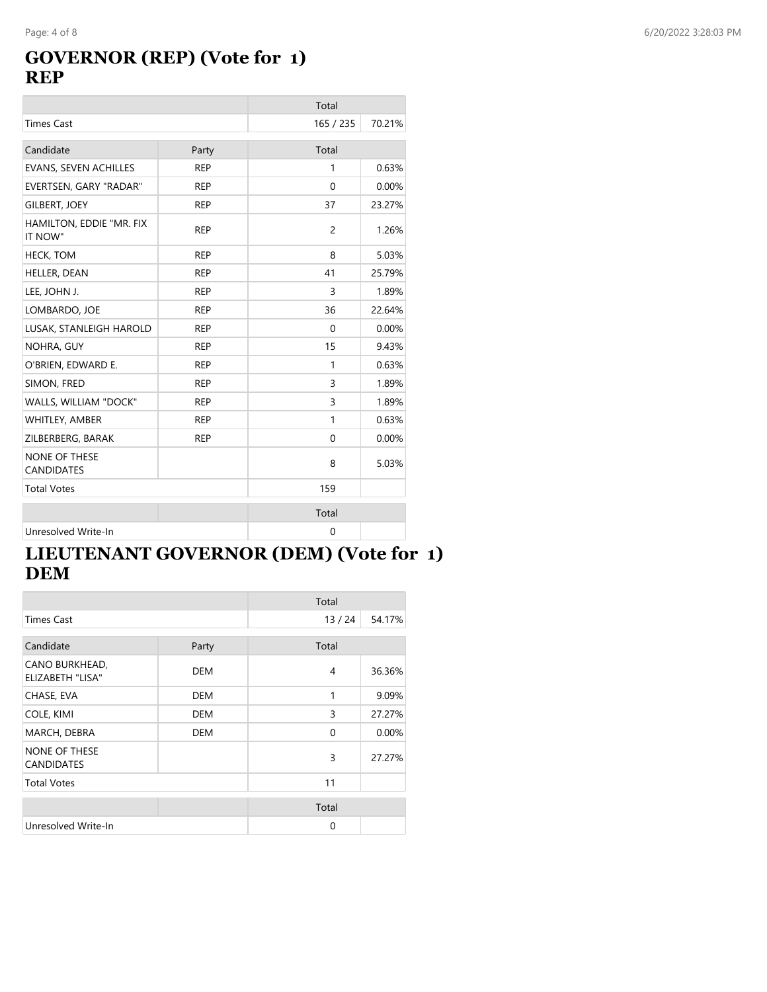#### **GOVERNOR (REP) (Vote for 1) REP**

|                                           |            | Total       |        |
|-------------------------------------------|------------|-------------|--------|
| <b>Times Cast</b>                         |            | 165 / 235   | 70.21% |
| Candidate                                 | Party      | Total       |        |
| <b>EVANS, SEVEN ACHILLES</b>              | <b>REP</b> | 1           | 0.63%  |
| EVERTSEN, GARY "RADAR"                    | <b>REP</b> | $\Omega$    | 0.00%  |
| <b>GILBERT, JOEY</b>                      | <b>REP</b> | 37          | 23.27% |
| HAMILTON, EDDIE "MR. FIX<br>IT NOW"       | <b>REP</b> | 2           | 1.26%  |
| <b>HECK, TOM</b>                          | <b>REP</b> | 8           | 5.03%  |
| HELLER, DEAN                              | <b>REP</b> | 41          | 25.79% |
| LEE, JOHN J.                              | <b>REP</b> | 3           | 1.89%  |
| LOMBARDO, JOE                             | <b>REP</b> | 36          | 22.64% |
| LUSAK, STANLEIGH HAROLD                   | <b>REP</b> | $\Omega$    | 0.00%  |
| NOHRA, GUY                                | <b>REP</b> | 15          | 9.43%  |
| O'BRIEN, EDWARD E.                        | <b>REP</b> | 1           | 0.63%  |
| SIMON, FRED                               | <b>REP</b> | 3           | 1.89%  |
| WALLS, WILLIAM "DOCK"                     | <b>REP</b> | 3           | 1.89%  |
| WHITLEY, AMBER                            | <b>REP</b> | 1           | 0.63%  |
| ZILBERBERG, BARAK                         | <b>REP</b> | 0           | 0.00%  |
| <b>NONE OF THESE</b><br><b>CANDIDATES</b> |            | 8           | 5.03%  |
| <b>Total Votes</b>                        |            | 159         |        |
|                                           |            | Total       |        |
| Unresolved Write-In                       |            | $\mathbf 0$ |        |

## **LIEUTENANT GOVERNOR (DEM) (Vote for 1) DEM**

|                                           |            | Total |        |
|-------------------------------------------|------------|-------|--------|
| <b>Times Cast</b>                         |            | 13/24 | 54.17% |
| Candidate                                 | Party      | Total |        |
| CANO BURKHEAD,<br>ELIZABETH "LISA"        | <b>DEM</b> | 4     | 36.36% |
| CHASE, EVA                                | <b>DEM</b> | 1     | 9.09%  |
| COLE, KIMI                                | DEM        | 3     | 27.27% |
| MARCH, DEBRA                              | <b>DEM</b> | 0     | 0.00%  |
| <b>NONE OF THESE</b><br><b>CANDIDATES</b> |            | 3     | 27.27% |
| <b>Total Votes</b>                        |            | 11    |        |
|                                           |            | Total |        |
| Unresolved Write-In                       |            | 0     |        |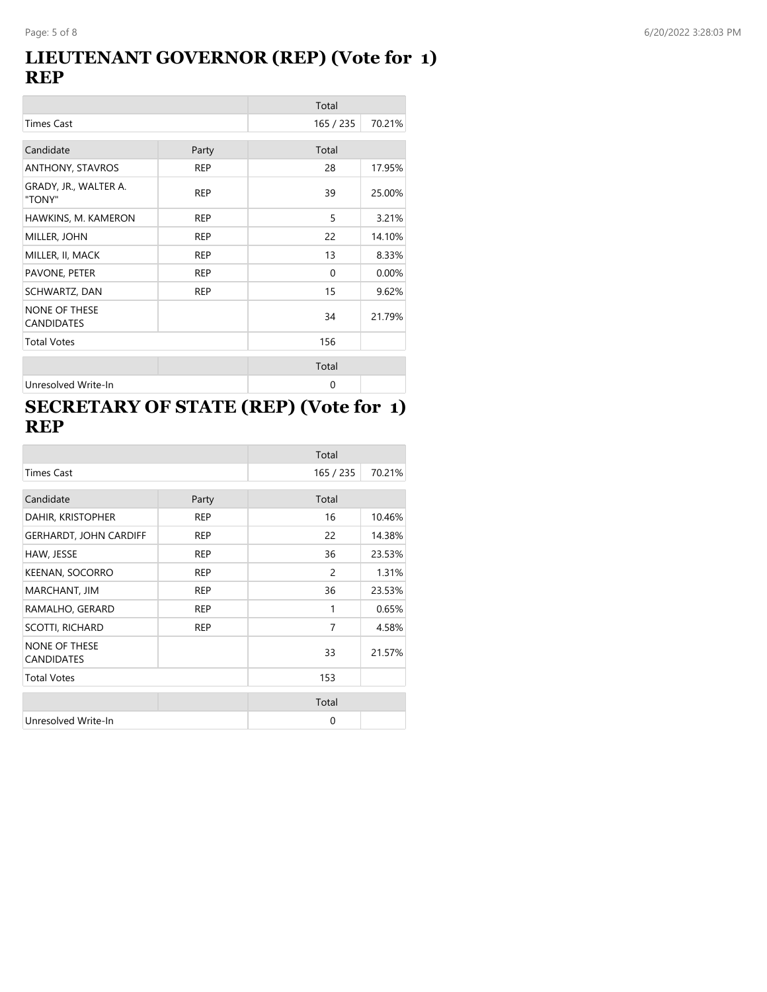#### **LIEUTENANT GOVERNOR (REP) (Vote for 1) REP**

|                                           |            | Total     |        |
|-------------------------------------------|------------|-----------|--------|
| <b>Times Cast</b>                         |            | 165 / 235 | 70.21% |
| Candidate                                 | Party      | Total     |        |
| ANTHONY, STAVROS                          | <b>REP</b> | 28        | 17.95% |
| GRADY, JR., WALTER A.<br>"TONY"           | <b>REP</b> | 39        | 25.00% |
| HAWKINS, M. KAMERON                       | <b>REP</b> | 5         | 3.21%  |
| MILLER, JOHN                              | <b>REP</b> | 22        | 14.10% |
| MILLER, II, MACK                          | <b>REP</b> | 13        | 8.33%  |
| PAVONE, PETER                             | <b>REP</b> | $\Omega$  | 0.00%  |
| SCHWARTZ, DAN                             | <b>REP</b> | 15        | 9.62%  |
| <b>NONE OF THESE</b><br><b>CANDIDATES</b> |            | 34        | 21.79% |
| <b>Total Votes</b>                        |            | 156       |        |
|                                           |            | Total     |        |
| Unresolved Write-In                       |            | 0         |        |

### **SECRETARY OF STATE (REP) (Vote for 1) REP**

|                                           |            | Total     |        |
|-------------------------------------------|------------|-----------|--------|
| <b>Times Cast</b>                         |            | 165 / 235 | 70.21% |
| Candidate                                 | Party      | Total     |        |
| DAHIR, KRISTOPHER                         | <b>REP</b> | 16        | 10.46% |
| <b>GERHARDT, JOHN CARDIFF</b>             | <b>REP</b> | 22        | 14.38% |
| HAW, JESSE                                | <b>REP</b> | 36        | 23.53% |
| KEENAN, SOCORRO                           | <b>REP</b> | 2         | 1.31%  |
| MARCHANT, JIM                             | <b>REP</b> | 36        | 23.53% |
| RAMALHO, GERARD                           | <b>REP</b> | 1         | 0.65%  |
| SCOTTI, RICHARD                           | <b>REP</b> | 7         | 4.58%  |
| <b>NONE OF THESE</b><br><b>CANDIDATES</b> |            | 33        | 21.57% |
| <b>Total Votes</b>                        |            | 153       |        |
|                                           |            | Total     |        |
| Unresolved Write-In                       |            | $\Omega$  |        |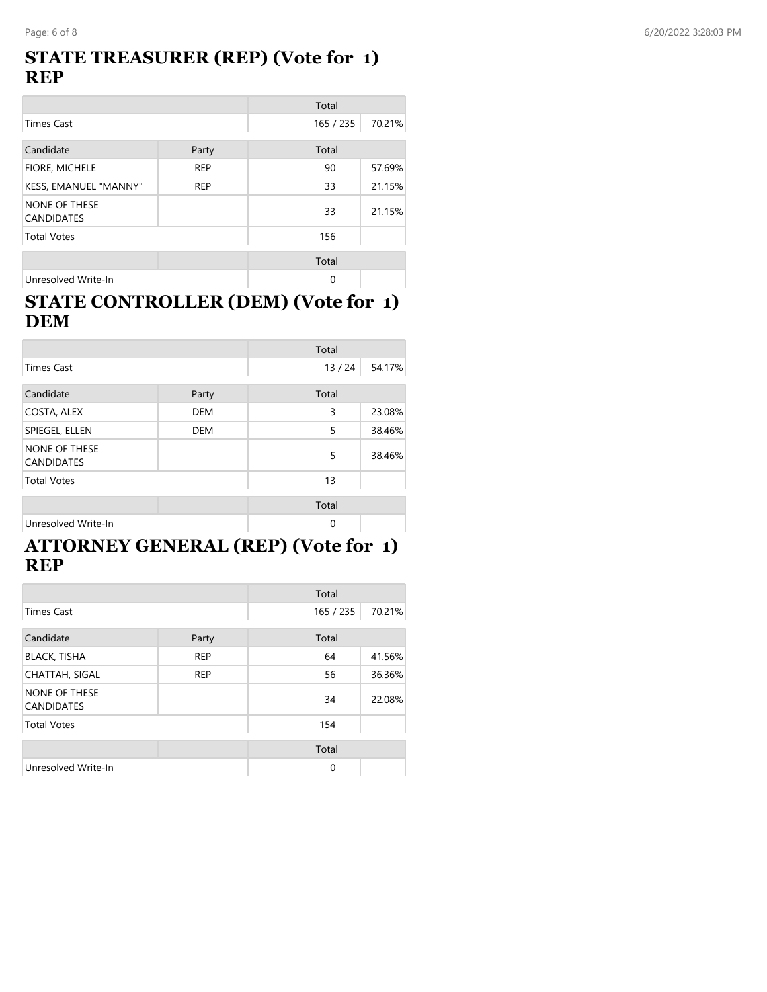#### **STATE TREASURER (REP) (Vote for 1) REP**

|                                           |            | Total     |        |
|-------------------------------------------|------------|-----------|--------|
| <b>Times Cast</b>                         |            | 165 / 235 | 70.21% |
| Candidate                                 | Party      | Total     |        |
| FIORE, MICHELE                            | <b>REP</b> | 90        | 57.69% |
| KESS, EMANUEL "MANNY"                     | <b>REP</b> | 33        | 21.15% |
| <b>NONE OF THESE</b><br><b>CANDIDATES</b> |            | 33        | 21.15% |
| <b>Total Votes</b>                        |            | 156       |        |
|                                           |            | Total     |        |
| Unresolved Write-In                       |            | 0         |        |

#### **STATE CONTROLLER (DEM) (Vote for 1) DEM**

|                                           |            | Total    |        |
|-------------------------------------------|------------|----------|--------|
| <b>Times Cast</b>                         |            | 13/24    | 54.17% |
| Candidate                                 | Party      | Total    |        |
| COSTA, ALEX                               | <b>DEM</b> | 3        | 23.08% |
| SPIEGEL, ELLEN                            | <b>DEM</b> | 5        | 38.46% |
| <b>NONE OF THESE</b><br><b>CANDIDATES</b> |            | 5        | 38.46% |
| <b>Total Votes</b>                        |            | 13       |        |
|                                           |            | Total    |        |
| Unresolved Write-In                       |            | $\Omega$ |        |

#### **ATTORNEY GENERAL (REP) (Vote for 1) REP**

|                                    |            | Total     |        |
|------------------------------------|------------|-----------|--------|
| <b>Times Cast</b>                  |            | 165 / 235 | 70.21% |
| Candidate                          | Party      | Total     |        |
| <b>BLACK, TISHA</b>                | <b>REP</b> | 64        | 41.56% |
| <b>CHATTAH, SIGAL</b>              | <b>REP</b> | 56        | 36.36% |
| NONE OF THESE<br><b>CANDIDATES</b> |            | 34        | 22.08% |
| <b>Total Votes</b>                 |            | 154       |        |
|                                    |            | Total     |        |
| Unresolved Write-In                |            | 0         |        |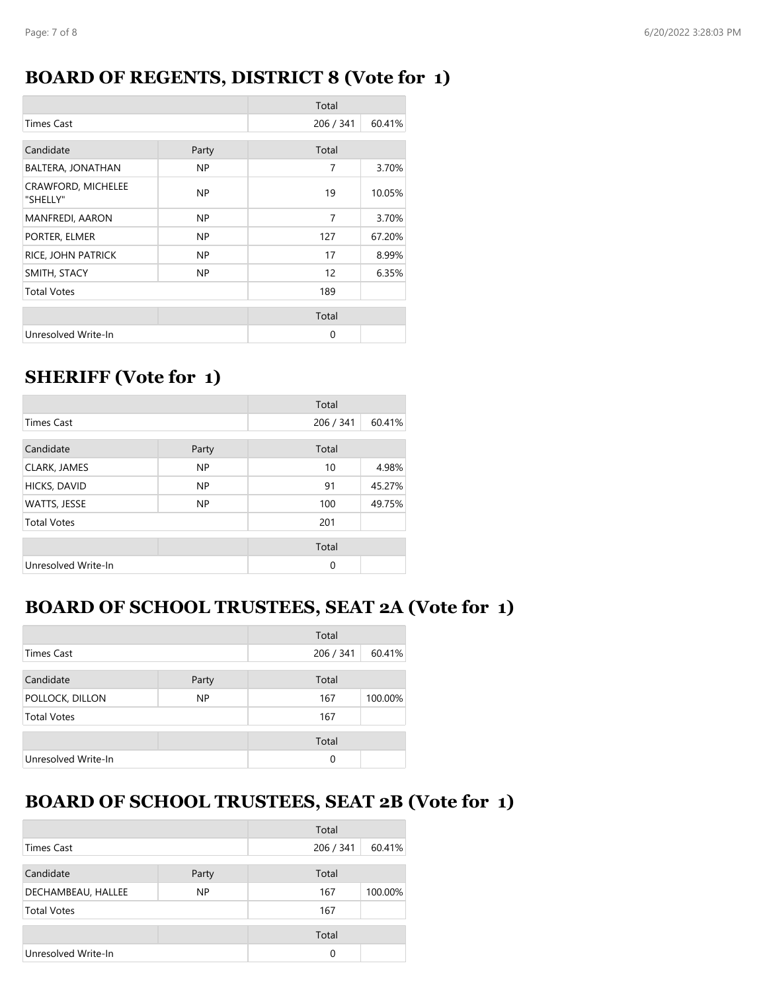#### **BOARD OF REGENTS, DISTRICT 8 (Vote for 1)**

|                                |       | Total     |        |
|--------------------------------|-------|-----------|--------|
| <b>Times Cast</b>              |       | 206 / 341 | 60.41% |
| Candidate                      | Party | Total     |        |
| BALTERA, JONATHAN              | NP.   | 7         | 3.70%  |
| CRAWFORD, MICHELEE<br>"SHELLY" | NP.   | 19        | 10.05% |
| <b>MANFREDI, AARON</b>         | NP.   | 7         | 3.70%  |
| PORTER, ELMER                  | NP.   | 127       | 67.20% |
| RICE, JOHN PATRICK             | NP.   | 17        | 8.99%  |
| SMITH, STACY                   | NP.   | 12        | 6.35%  |
| <b>Total Votes</b>             |       | 189       |        |
|                                |       | Total     |        |
| Unresolved Write-In            |       | 0         |        |

## **SHERIFF (Vote for 1)**

|                     |           | Total     |        |
|---------------------|-----------|-----------|--------|
| <b>Times Cast</b>   |           | 206 / 341 | 60.41% |
| Candidate           | Party     | Total     |        |
| CLARK, JAMES        | <b>NP</b> | 10        | 4.98%  |
| HICKS, DAVID        | <b>NP</b> | 91        | 45.27% |
| WATTS, JESSE        | <b>NP</b> | 100       | 49.75% |
| <b>Total Votes</b>  |           | 201       |        |
|                     |           | Total     |        |
| Unresolved Write-In |           | 0         |        |

#### **BOARD OF SCHOOL TRUSTEES, SEAT 2A (Vote for 1)**

|                     |           | Total     |         |
|---------------------|-----------|-----------|---------|
| <b>Times Cast</b>   |           | 206 / 341 | 60.41%  |
| Candidate           | Party     | Total     |         |
| POLLOCK, DILLON     | <b>NP</b> | 167       | 100.00% |
| <b>Total Votes</b>  |           | 167       |         |
|                     |           | Total     |         |
| Unresolved Write-In |           | $\Omega$  |         |

# **BOARD OF SCHOOL TRUSTEES, SEAT 2B (Vote for 1)**

|                     |           | Total     |         |
|---------------------|-----------|-----------|---------|
| Times Cast          |           | 206 / 341 | 60.41%  |
| Candidate           | Party     | Total     |         |
| DECHAMBEAU, HALLEE  | <b>NP</b> | 167       | 100.00% |
| <b>Total Votes</b>  |           | 167       |         |
|                     |           | Total     |         |
| Unresolved Write-In |           | 0         |         |